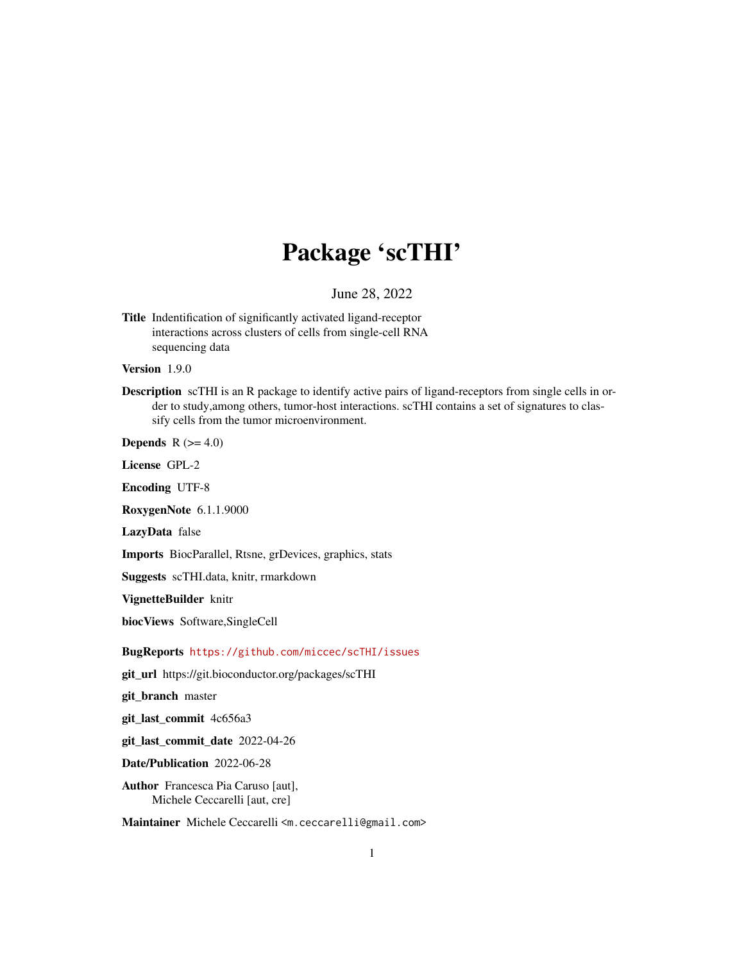## Package 'scTHI'

June 28, 2022

Title Indentification of significantly activated ligand-receptor interactions across clusters of cells from single-cell RNA sequencing data

Version 1.9.0

Description scTHI is an R package to identify active pairs of ligand-receptors from single cells in order to study,among others, tumor-host interactions. scTHI contains a set of signatures to classify cells from the tumor microenvironment.

**Depends**  $R$  ( $>= 4.0$ )

License GPL-2

Encoding UTF-8

RoxygenNote 6.1.1.9000

LazyData false

Imports BiocParallel, Rtsne, grDevices, graphics, stats

Suggests scTHI.data, knitr, rmarkdown

VignetteBuilder knitr

biocViews Software,SingleCell

BugReports <https://github.com/miccec/scTHI/issues>

git\_url https://git.bioconductor.org/packages/scTHI

git\_branch master

git\_last\_commit 4c656a3

git\_last\_commit\_date 2022-04-26

Date/Publication 2022-06-28

Author Francesca Pia Caruso [aut], Michele Ceccarelli [aut, cre]

Maintainer Michele Ceccarelli <m.ceccarelli@gmail.com>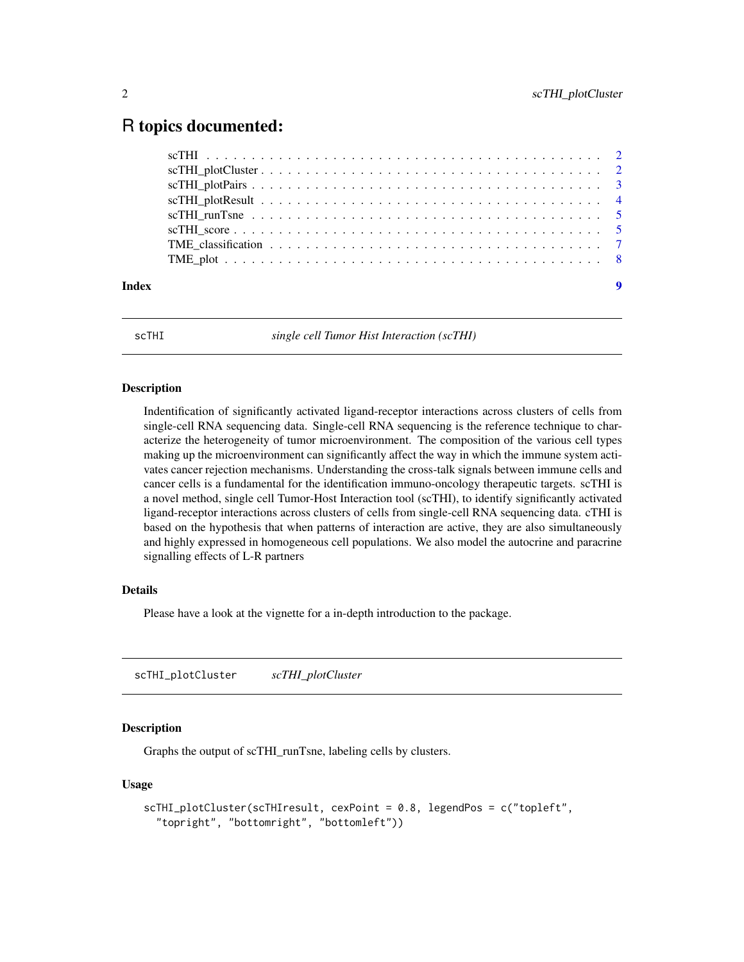## <span id="page-1-0"></span>R topics documented:

| Index | $\overline{9}$ |
|-------|----------------|

scTHI *single cell Tumor Hist Interaction (scTHI)*

#### Description

Indentification of significantly activated ligand-receptor interactions across clusters of cells from single-cell RNA sequencing data. Single-cell RNA sequencing is the reference technique to characterize the heterogeneity of tumor microenvironment. The composition of the various cell types making up the microenvironment can significantly affect the way in which the immune system activates cancer rejection mechanisms. Understanding the cross-talk signals between immune cells and cancer cells is a fundamental for the identification immuno-oncology therapeutic targets. scTHI is a novel method, single cell Tumor-Host Interaction tool (scTHI), to identify significantly activated ligand-receptor interactions across clusters of cells from single-cell RNA sequencing data. cTHI is based on the hypothesis that when patterns of interaction are active, they are also simultaneously and highly expressed in homogeneous cell populations. We also model the autocrine and paracrine signalling effects of L-R partners

#### Details

Please have a look at the vignette for a in-depth introduction to the package.

scTHI\_plotCluster *scTHI\_plotCluster*

#### Description

Graphs the output of scTHI\_runTsne, labeling cells by clusters.

#### Usage

```
scTHI_plotCluster(scTHIresult, cexPoint = 0.8, legendPos = c("topleft",
 "topright", "bottomright", "bottomleft"))
```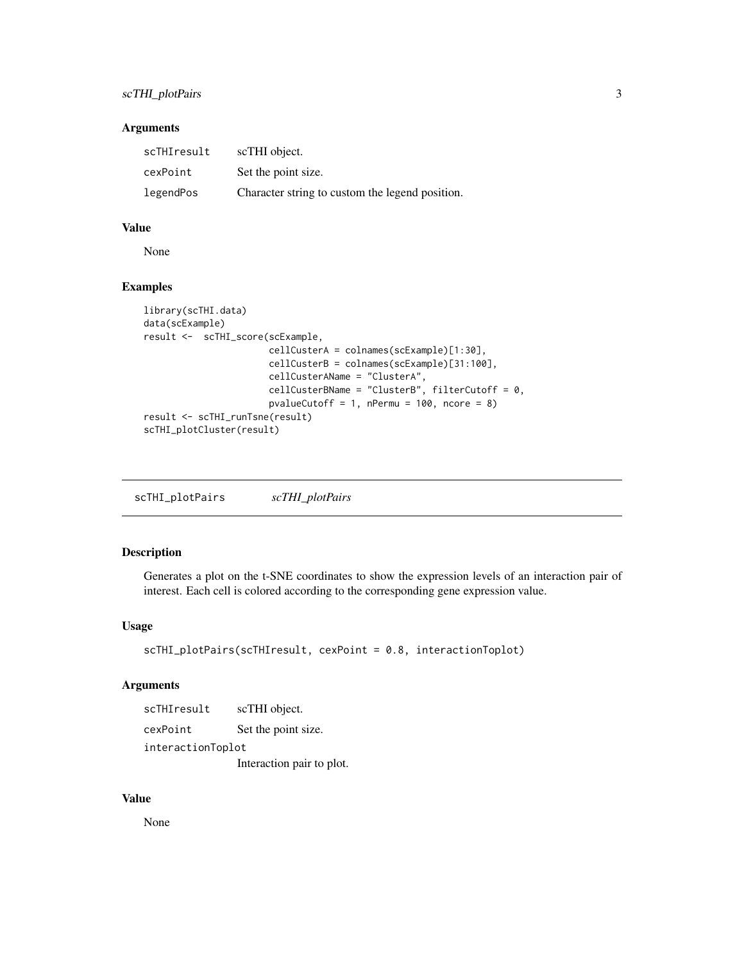#### <span id="page-2-0"></span>scTHI\_plotPairs 3

#### Arguments

| scTHIresult | scTHI object.                                   |
|-------------|-------------------------------------------------|
| cexPoint    | Set the point size.                             |
| legendPos   | Character string to custom the legend position. |

#### Value

None

#### Examples

```
library(scTHI.data)
data(scExample)
result <- scTHI_score(scExample,
                       cellCusterA = colnames(scExample)[1:30],
                       cellCusterB = colnames(scExample)[31:100],
                       cellCusterAName = "ClusterA",
                       cellCusterBName = "ClusterB", filterCutoff = 0,
                       pvalueCutoff = 1, nPermu = 100, ncore = 8)
result <- scTHI_runTsne(result)
scTHI_plotCluster(result)
```
scTHI\_plotPairs *scTHI\_plotPairs*

### Description

Generates a plot on the t-SNE coordinates to show the expression levels of an interaction pair of interest. Each cell is colored according to the corresponding gene expression value.

#### Usage

```
scTHI_plotPairs(scTHIresult, cexPoint = 0.8, interactionToplot)
```
#### Arguments

| scTHIresult       | scTHI object.             |  |
|-------------------|---------------------------|--|
| cexPoint          | Set the point size.       |  |
| interactionToplot |                           |  |
|                   | Interaction pair to plot. |  |

#### Value

None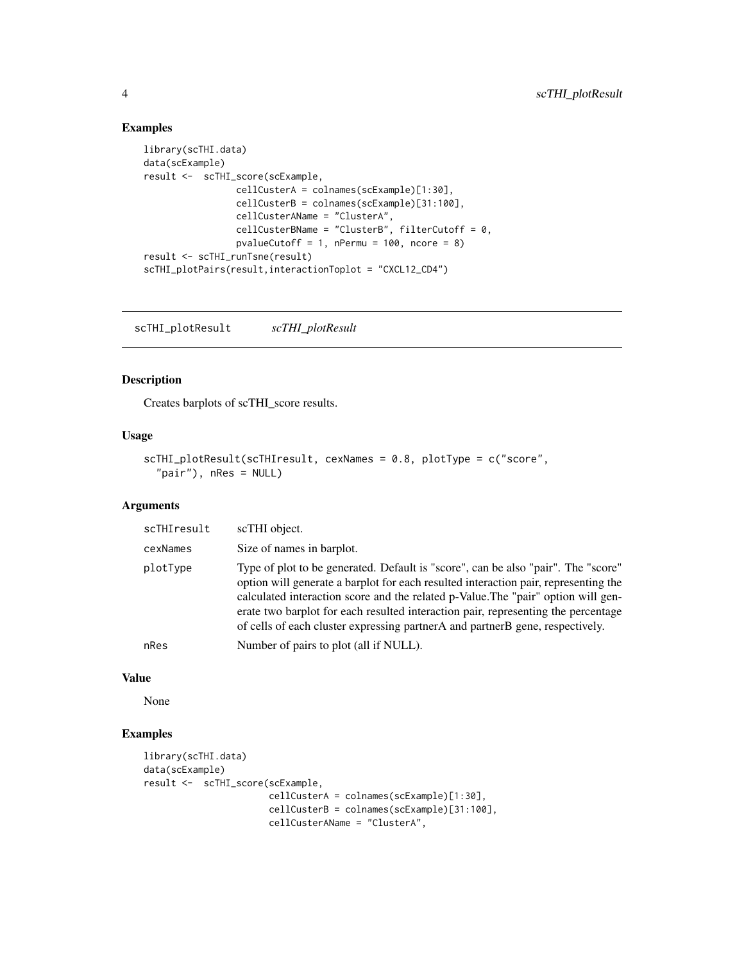#### Examples

```
library(scTHI.data)
data(scExample)
result <- scTHI_score(scExample,
                 cellCusterA = colnames(scExample)[1:30],
                 cellCusterB = colnames(scExample)[31:100],
                 cellCusterAName = "ClusterA",
                 cellCusterBName = "ClusterB", filterCutoff = 0,
                 pvalueCutoff = 1, nPermu = 100, ncore = 8)
result <- scTHI_runTsne(result)
scTHI_plotPairs(result,interactionToplot = "CXCL12_CD4")
```
scTHI\_plotResult *scTHI\_plotResult*

#### Description

Creates barplots of scTHI\_score results.

#### Usage

```
scTHI_plotResult(scTHIresult, cexNames = 0.8, plotType = c("score",
  "pair"), nRes = NULL)
```
#### Arguments

| scTHIresult | scTHI object.                                                                                                                                                                                                                                                                                                                                                                                                                         |
|-------------|---------------------------------------------------------------------------------------------------------------------------------------------------------------------------------------------------------------------------------------------------------------------------------------------------------------------------------------------------------------------------------------------------------------------------------------|
| cexNames    | Size of names in barplot.                                                                                                                                                                                                                                                                                                                                                                                                             |
| plotType    | Type of plot to be generated. Default is "score", can be also "pair". The "score"<br>option will generate a barplot for each resulted interaction pair, representing the<br>calculated interaction score and the related p-Value. The "pair" option will gen-<br>erate two barplot for each resulted interaction pair, representing the percentage<br>of cells of each cluster expressing partner A and partner B gene, respectively. |
| nRes        | Number of pairs to plot (all if NULL).                                                                                                                                                                                                                                                                                                                                                                                                |

#### Value

None

```
library(scTHI.data)
data(scExample)
result <- scTHI_score(scExample,
                      cellCusterA = colnames(scExample)[1:30],
                      cellCusterB = colnames(scExample)[31:100],
                      cellCusterAName = "ClusterA",
```
<span id="page-3-0"></span>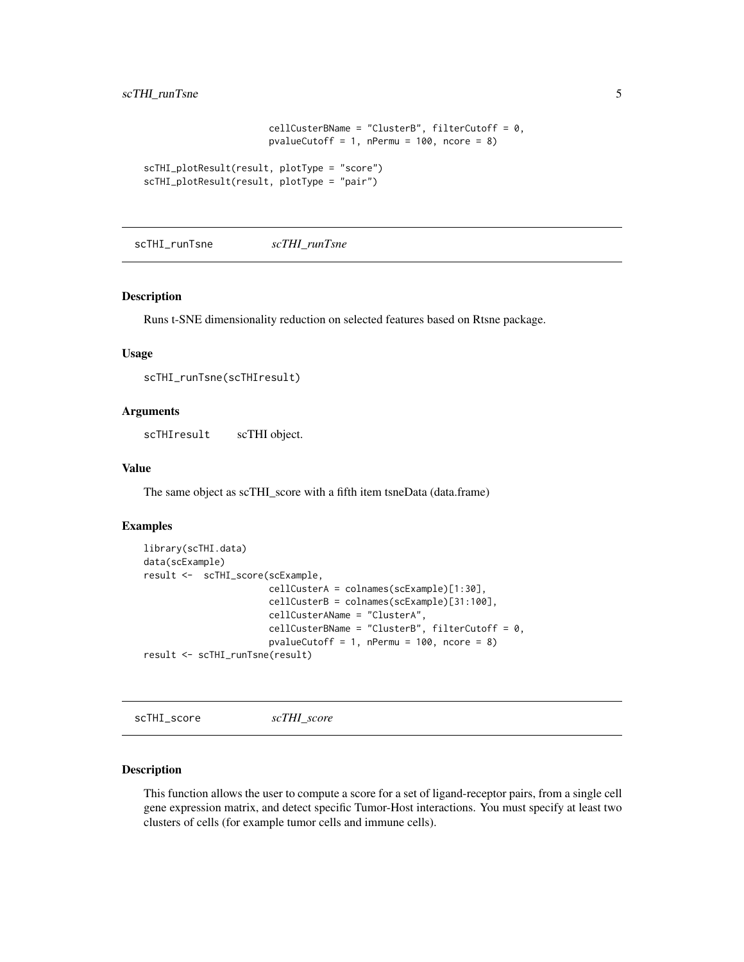```
cellCusterBName = "ClusterB", filterCutoff = 0,
                       pvalueCutoff = 1, nPermu = 100, ncore = 8)
scTHI_plotResult(result, plotType = "score")
scTHI_plotResult(result, plotType = "pair")
```
scTHI\_runTsne *scTHI\_runTsne*

#### Description

Runs t-SNE dimensionality reduction on selected features based on Rtsne package.

#### Usage

```
scTHI_runTsne(scTHIresult)
```
#### Arguments

scTHIresult scTHI object.

#### Value

The same object as scTHI\_score with a fifth item tsneData (data.frame)

#### Examples

```
library(scTHI.data)
data(scExample)
result <- scTHI_score(scExample,
                       cellCusterA = colnames(scExample)[1:30],
                       cellCusterB = colnames(scExample)[31:100],
                       cellCusterAName = "ClusterA",
                       cellCusterBName = "ClusterB", filterCutoff = 0,
                       pvalueCutoff = 1, nPermu = 100, ncore = 8)
result <- scTHI_runTsne(result)
```
scTHI\_score *scTHI\_score*

#### Description

This function allows the user to compute a score for a set of ligand-receptor pairs, from a single cell gene expression matrix, and detect specific Tumor-Host interactions. You must specify at least two clusters of cells (for example tumor cells and immune cells).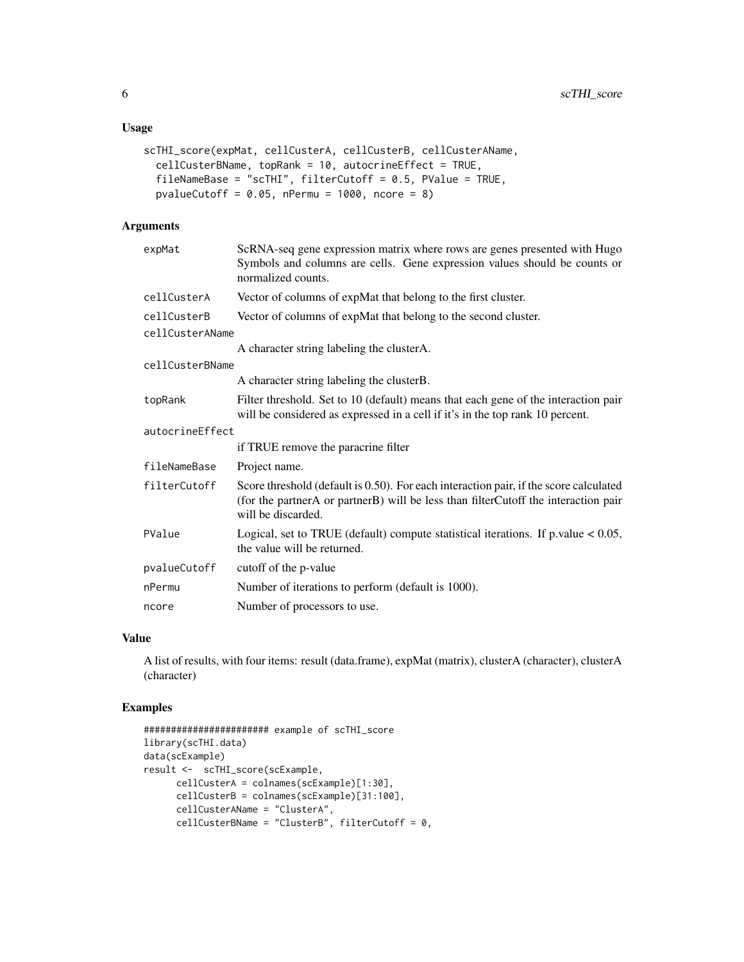```
scTHI_score(expMat, cellCusterA, cellCusterB, cellCusterAName,
 cellCusterBName, topRank = 10, autocrineEffect = TRUE,
 fileNameBase = "scTHI", filterCutoff = 0.5, PValue = TRUE,
 pvalueCutoff = 0.05, nPermu = 1000, ncore = 8)
```
#### Arguments

| expMat          | ScRNA-seq gene expression matrix where rows are genes presented with Hugo<br>Symbols and columns are cells. Gene expression values should be counts or<br>normalized counts.                      |  |  |
|-----------------|---------------------------------------------------------------------------------------------------------------------------------------------------------------------------------------------------|--|--|
| cellCusterA     | Vector of columns of expMat that belong to the first cluster.                                                                                                                                     |  |  |
| cellCusterB     | Vector of columns of expMat that belong to the second cluster.                                                                                                                                    |  |  |
| cellCusterAName |                                                                                                                                                                                                   |  |  |
|                 | A character string labeling the clusterA.                                                                                                                                                         |  |  |
| cellCusterBName |                                                                                                                                                                                                   |  |  |
|                 | A character string labeling the clusterB.                                                                                                                                                         |  |  |
| topRank         | Filter threshold. Set to 10 (default) means that each gene of the interaction pair<br>will be considered as expressed in a cell if it's in the top rank 10 percent.                               |  |  |
| autocrineEffect |                                                                                                                                                                                                   |  |  |
|                 | if TRUE remove the paracrine filter                                                                                                                                                               |  |  |
| fileNameBase    | Project name.                                                                                                                                                                                     |  |  |
| filterCutoff    | Score threshold (default is 0.50). For each interaction pair, if the score calculated<br>(for the partnerA or partnerB) will be less than filterCutoff the interaction pair<br>will be discarded. |  |  |
| PValue          | Logical, set to TRUE (default) compute statistical iterations. If $p$ value $< 0.05$ ,<br>the value will be returned.                                                                             |  |  |
| pvalueCutoff    | cutoff of the p-value                                                                                                                                                                             |  |  |
| nPermu          | Number of iterations to perform (default is 1000).                                                                                                                                                |  |  |
| ncore           | Number of processors to use.                                                                                                                                                                      |  |  |

#### Value

A list of results, with four items: result (data.frame), expMat (matrix), clusterA (character), clusterA (character)

```
####################### example of scTHI_score
library(scTHI.data)
data(scExample)
result <- scTHI_score(scExample,
      cellCusterA = colnames(scExample)[1:30],
      cellCusterB = colnames(scExample)[31:100],
      cellCusterAName = "ClusterA",
      cellCusterBName = "ClusterB", filterCutoff = 0,
```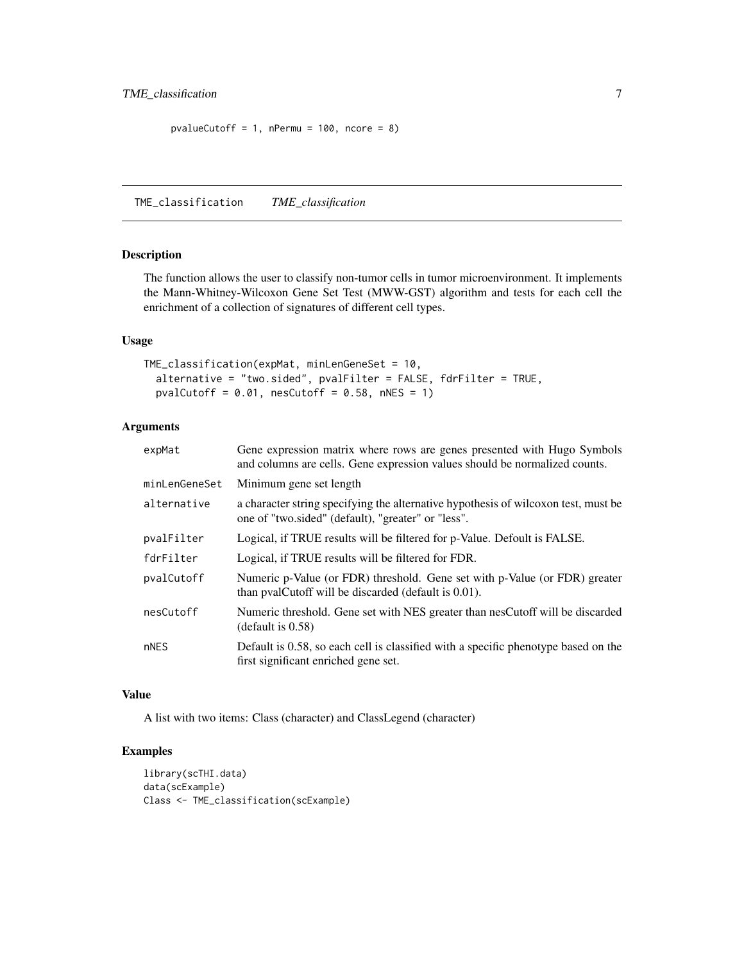```
pvalueCutoff = 1, nPermu = 100, ncore = 8)
```
TME\_classification *TME\_classification*

#### Description

The function allows the user to classify non-tumor cells in tumor microenvironment. It implements the Mann-Whitney-Wilcoxon Gene Set Test (MWW-GST) algorithm and tests for each cell the enrichment of a collection of signatures of different cell types.

#### Usage

```
TME_classification(expMat, minLenGeneSet = 10,
  alternative = "two.sided", pvalFilter = FALSE, fdrFilter = TRUE,
  pvalCutoff = 0.01, nesCutoff = 0.58, nNES = 1)
```
#### Arguments

| expMat        | Gene expression matrix where rows are genes presented with Hugo Symbols<br>and columns are cells. Gene expression values should be normalized counts. |
|---------------|-------------------------------------------------------------------------------------------------------------------------------------------------------|
| minLenGeneSet | Minimum gene set length                                                                                                                               |
| alternative   | a character string specifying the alternative hypothesis of wilcoxon test, must be<br>one of "two.sided" (default), "greater" or "less".              |
| pvalFilter    | Logical, if TRUE results will be filtered for p-Value. Defoult is FALSE.                                                                              |
| fdrFilter     | Logical, if TRUE results will be filtered for FDR.                                                                                                    |
| pvalCutoff    | Numeric p-Value (or FDR) threshold. Gene set with p-Value (or FDR) greater<br>than pvalCutoff will be discarded (default is 0.01).                    |
| nesCutoff     | Numeric threshold. Gene set with NES greater than nesCutoff will be discarded<br>(default is 0.58)                                                    |
| nNES          | Default is 0.58, so each cell is classified with a specific phenotype based on the<br>first significant enriched gene set.                            |

#### Value

A list with two items: Class (character) and ClassLegend (character)

```
library(scTHI.data)
data(scExample)
Class <- TME_classification(scExample)
```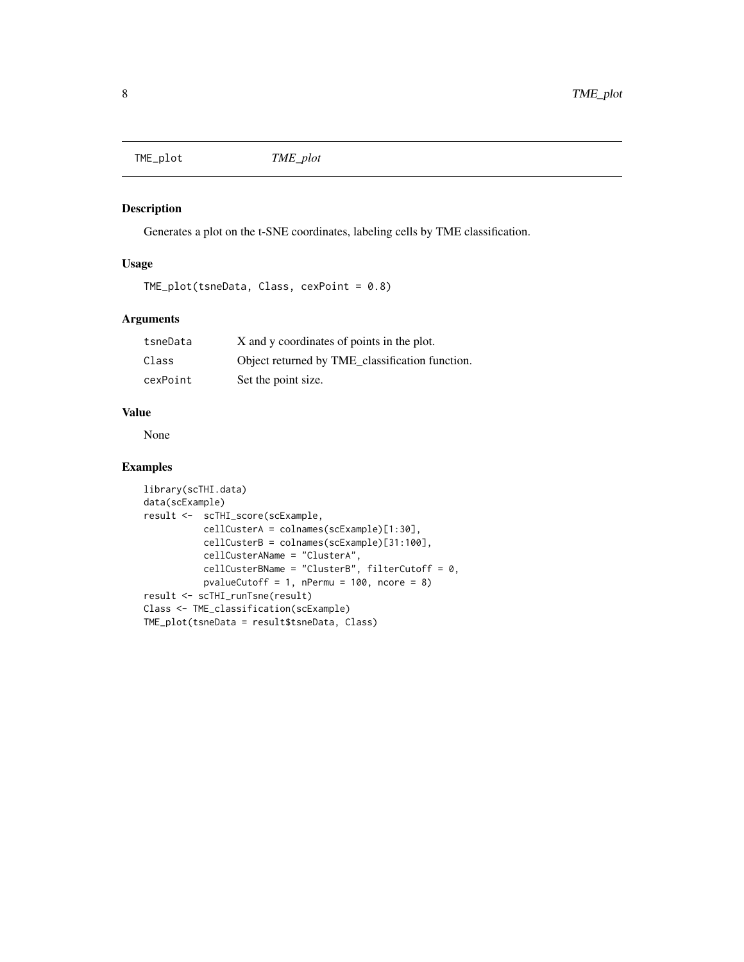<span id="page-7-0"></span>TME\_plot *TME\_plot*

#### Description

Generates a plot on the t-SNE coordinates, labeling cells by TME classification.

#### Usage

```
TME_plot(tsneData, Class, cexPoint = 0.8)
```
#### Arguments

| tsneData | X and y coordinates of points in the plot.      |
|----------|-------------------------------------------------|
| Class    | Object returned by TME classification function. |
| cexPoint | Set the point size.                             |

#### Value

None

```
library(scTHI.data)
data(scExample)
result <- scTHI_score(scExample,
           cellCusterA = colnames(scExample)[1:30],
           cellCusterB = colnames(scExample)[31:100],
           cellCusterAName = "ClusterA",
           cellCusterBName = "ClusterB", filterCutoff = 0,
           pvalueCutoff = 1, nPermu = 100, ncore = 8)
result <- scTHI_runTsne(result)
Class <- TME_classification(scExample)
TME_plot(tsneData = result$tsneData, Class)
```